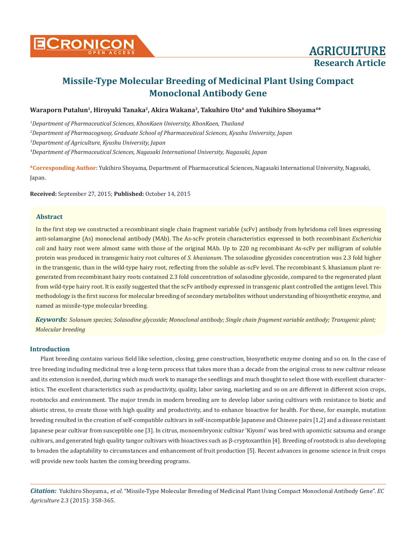

## Waraporn Putalun<sup>1</sup>, Hiroyuki Tanaka<sup>2</sup>, Akira Wakana<sup>3</sup>, Takuhiro Uto<sup>4</sup> and Yukihiro Shoyama<sup>4\*</sup>

*1 Department of Pharmaceutical Sciences, KhonKaen University, KhonKaen, Thailand 2 Department of Pharmacognosy, Graduate School of Pharmaceutical Sciences, Kyushu University, Japan*

*3 Department of Agriculture, Kyushu University, Japan*

*4 Department of Pharmaceutical Sciences, Nagasaki International University, Nagasaki, Japan*

**\*Corresponding Author:** Yukihiro Shoyama, Department of Pharmaceutical Sciences, Nagasaki International University, Nagasaki, Japan.

**Received:** September 27, 2015; **Published:** October 14, 2015

### **Abstract**

In the first step we constructed a recombinant single chain fragment variable (scFv) antibody from hybridoma cell lines expressing anti-solamargine (As) monoclonal antibody (MAb). The As-scFv protein characteristics expressed in both recombinant *Escherichia coli* and hairy root were almost same with those of the original MAb. Up to 220 ng recombinant As-scFv per milligram of soluble protein was produced in transgenic hairy root cultures of *S. khasianum*. The solasodine glycosides concentration was 2.3 fold higher in the transgenic, than in the wild-type hairy root, reflecting from the soluble as-scFv level. The recombinant S. khasianum plant regenerated from recombinant hairy roots contained 2.3 fold concentration of solasodine glycoside, compared to the regenerated plant from wild-type hairy root. It is easily suggested that the scFv antibody expressed in transgenic plant controlled the antigen level. This methodology is the first success for molecular breeding of secondary metabolites without understanding of biosynthetic enzyme, and named as missile-type molecular breeding.

*Keywords: Solanum species; Solasodine glycoside; Monoclonal antibody; Single chain fragment variable antibody; Transgenic plant; Molecular breeding*

#### **Introduction**

Plant breeding contains various field like selection, closing, gene construction, biosynthetic enzyme cloning and so on. In the case of tree breeding including medicinal tree a long-term process that takes more than a decade from the original cross to new cultivar release and its extension is needed, during which much work to manage the seedlings and much thought to select those with excellent characteristics. The excellent characteristics such as productivity, quality, labor saving, marketing and so on are different in different scion crops, rootstocks and environment. The major trends in modern breeding are to develop labor saving cultivars with resistance to biotic and abiotic stress, to create those with high quality and productivity, and to enhance bioactive for health. For these, for example, mutation breeding resulted in the creation of self-compatible cultivars in self-incompatible Japanese and Chinese pairs [1,2] and a disease resistant Japanese pear cultivar from susceptible one [3]. In citrus, monoembryonic cultivar 'Kiyomi' was bred with apomictic satsuma and orange cultivars, and generated high quality tangor cultivars with bioactives such as β-cryptoxanthin [4]. Breeding of rootstock is also developing to broaden the adaptability to circumstances and enhancement of fruit production [5]. Recent advances in genome science in fruit crops will provide new tools hasten the coming breeding programs.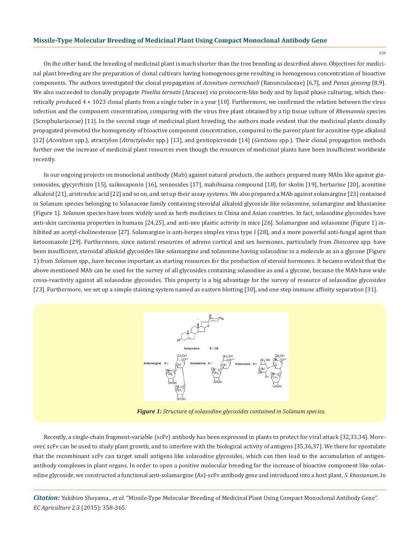359

On the other hand, the breeding of medicinal plant is much shorter than the tree breeding as described above. Objectives for medicinal plant breeding are the preparation of clonal cultivars having homogenous gene resulting in homogenous concentration of bioactive components. The authors investigated the clonal propagation of *Aconitum carmichaeli* (Ranunculaceae) [6,7], and *Panax ginseng* [8,9]. We also succeeded to clonally propagate *Pinellia ternate* (Araceae) *via* protocorm-like body and by liquid phase culturing, which theoretically produced 4 × 1023 clonal plants from a single tuber in a year [10]. Furthermore, we confirmed the relation between the virus infection and the component concentration, comparing with the virus free plant obtained by a tip tissue culture of *Rhemannia* species (Scrophulariaceae) [11]. In the second stage of medicinal plant breeding, the authors made evident that the medicinal plants clonally propagated promoted the homogeneity of bioactive component concentration, compared to the parent plant for aconitine-type alkaloid [12] (*Aconitum* spp.), atractylon (*Atractylodes* spp.) [13], and gentiopicroside [14] (*Gentiana* spp.). Their clonal propagation methods further owe the increase of medicinal plant resources even though the resources of medicinal plants have been insufficient worldwide recently.

In our ongoing projects on monoclonal antibody (Mab) against natural products, the authors prepared many MAbs like against ginsenosides, glycyrrhizin [15], saikosaponin [16], sennosides [17], mahihuana compound [18], for skolin [19], berbarine [20], aconitine alkaloid [21], aristrochic acid [22] and so on, and set up their assay systems. We also prepared a MAb against solamargine [23] contained in Solanum species belonging to Solanaceae family containing steroidal alkaloid glycoside like solasonine, solamargine and khasianine (Figure 1). *Solanum* species have been widely used as herb medicines in China and Asian countries. In fact, solasodine glycosides have anti-skin carcinoma properties in humans [24,25], and anti-neo plastic activity in mice [26]. Solamargine and solasonine (Figure 1) inhibited an acetyl-cholinesterase [27]. Solamargine is anti-herpes simplex virus type I [28], and a more powerful anti-fungal agent than ketoconazole [29]. Furthermore, since natural resources of adreno cortical and sex hormones, particularly from *Dioscorea* spp. have been insufficient, steroidal alkaloid glycosides like solamargine and solasonine having solasodine in a molecule as an a glycone (Figure 1) from *Solanum* spp., have become important as starting resources for the production of steroid hormones. It became evident that the above mentioned MAb can be used for the survey of all glycosides containing solasodine as and a glycone, because the MAb have wide cross-reactivity against all solasodine glycosides. This property is a big advantage for the survey of resource of solasodine glycosides [23]. Furthermore, we set up a simple staining system named as eastern blotting [30], and one step immune affinity separation [31].



*Figure 1: Structure of solasodine glycosides contained in Solanum species.*

Recently, a single-chain fragment-variable (scFv) antibody has been expressed in plants to protect for viral attack [32,33,34]. Moreover, scFv can be used to study plant growth, and to interfere with the biological activity of antigens [35,36,37]. We there for epostulate that the recombinant scFv can target small antigens like solasodine glycosides, which can then lead to the accumulation of antigenantibody complexes in plant organs. In order to open a positive molecular breeding for the increase of bioactive component like solasodine glycoside, we constructed a functional anti-solamargine (As)-scFv antibody gene and introduced into a host plant, *S. khasianum*. In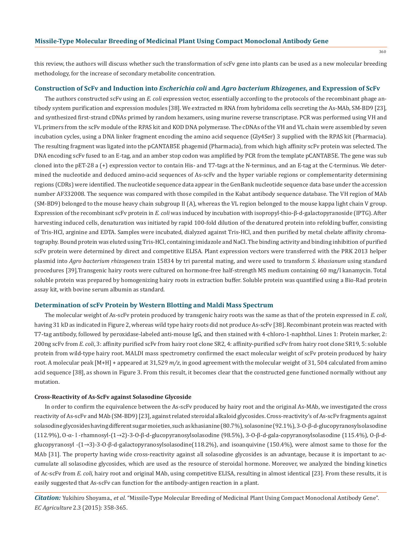this review, the authors will discuss whether such the transformation of scFv gene into plants can be used as a new molecular breeding methodology, for the increase of secondary metabolite concentration.

#### **Construction of ScFv and Induction into** *Escherichia coli* **and** *Agro bacterium Rhizogenes***, and Expression of ScFv**

The authors constructed scFv using an *E. coli* expression vector, essentially according to the protocols of the recombinant phage antibody system purification and expression modules [38]. We extracted m RNA from hybridoma cells secreting the As-MAb, SM-BD9 [23], and synthesized first-strand cDNAs primed by random hexamers, using murine reverse transcriptase. PCR was performed using VH and VL primers from the scFv module of the RPAS kit and KOD DNA polymerase. The cDNAs of the VH and VL chain were assembled by seven incubation cycles, using a DNA linker fragment encoding the amino acid sequence (Gly4Ser) 3 supplied with the RPAS kit (Pharmacia). The resulting fragment was ligated into the pCANTAB5E phagemid (Pharmacia), from which high affinity scFv protein was selected. The DNA encoding scFv fused to an E-tag, and an amber stop codon was amplified by PCR from the template pCANTAB5E. The gene was sub cloned into the pET-28 a (+) expression vector to contain His- and T7-tags at the N-terminus, and an E-tag at the C-terminus. We determined the nucleotide and deduced amino-acid sequences of As-scFv and the hyper variable regions or complementarity determining regions (CDRs) were identified. The nucleotide sequence data appear in the GenBank nucleotide sequence data base under the accession number AF332008. The sequence was compared with those compiled in the Kabat antibody sequence database. The VH region of MAb (SM-BD9) belonged to the mouse heavy chain subgroup II (A), whereas the VL region belonged to the mouse kappa light chain V group. Expression of the recombinant scFv protein in *E. coli* was induced by incubation with isopropyl-thio-β-d-galactopyranoside (IPTG). After harvesting induced cells, denaturation was initiated by rapid 100-fold dilution of the denatured protein into refolding buffer, consisting of Tris-HCl, arginine and EDTA. Samples were incubated, dialyzed against Tris-HCl, and then purified by metal chelate affinity chromatography. Bound protein was eluted using Tris-HCl, containing imidazole and NaCl. The binding activity and binding inhibition of purified scFv protein were determined by direct and competitive ELISA. Plant expression vectors were transferred with the PRK 2013 helper plasmid into *Agro bacterium rhizogeness* train 15834 by tri parental mating, and were used to transform *S. khasianum* using standard procedures [39].Transgenic hairy roots were cultured on hormone-free half-strength MS medium containing 60 mg/l kanamycin. Total soluble protein was prepared by homogenizing hairy roots in extraction buffer. Soluble protein was quantified using a Bio-Rad protein assay kit, with bovine serum albumin as standard.

#### **Determination of scFv Protein by Western Blotting and Maldi Mass Spectrum**

The molecular weight of As-scFv protein produced by transgenic hairy roots was the same as that of the protein expressed in *E. coli*, having 31 kD as indicated in Figure 2, whereas wild type hairy roots did not produce As-scFv [38]. Recombinant protein was reacted with T7-tag antibody, followed by peroxidase-labeled anti-mouse IgG, and then stained with 4-chloro-1-naphthol. Lines 1: Protein marker, 2: 200ng scFv from *E. coli*, 3: affinity purified scFv from hairy root clone SR2, 4: affinity-purified scFv from hairy root clone SR19, 5: soluble protein from wild-type hairy root. MALDI mass spectrometry confirmed the exact molecular weight of scFv protein produced by hairy root. A molecular peak [M+H] + appeared at 31,529 *m/z*, in good agreement with the molecular weight of 31, 504 calculated from amino acid sequence [38], as shown in Figure 3. From this result, it becomes clear that the constructed gene functioned normally without any mutation.

#### **Cross-Reactivity of As-ScFv against Solasodine Glycoside**

In order to confirm the equivalence between the As-scFv produced by hairy root and the original As-MAb, we investigated the cross reactivity of As-scFv and MAb (SM-BD9) [23], against related steroidal alkaloid glycosides. Cross-reactivity's of As-scFv fragments against solasodine glycosides having different sugar moieties, such as khasianine (80.7%), solasonine (92.1%), 3-O-β-d-glucopyranosylsolasodine (112.9%), O-α- l -rhamnosyl-(1→2)-3-O-β-d-glucopyranosylsolasodine (98.5%), 3-O-β-d-gala-copyranosylsolasodine (115.4%), O-β-dglucopyranosyl -(1→3)-3-O-β-d-galactopyranosylsolasodine(118.2%), and isoanquivine (150.4%), were almost same to those for the MAb [31]. The property having wide cross-reactivity against all solasodine glycosides is an advantage, because it is important to accumulate all solasodine glycosides, which are used as the resource of steroidal hormone. Moreover, we analyzed the binding kinetics of Ac-scFv from *E. coli,* hairy root and original MAb, using competitive ELISA, resulting in almost identical [23]. From these results, it is easily suggested that As-scFv can function for the antibody-antigen reaction in a plant.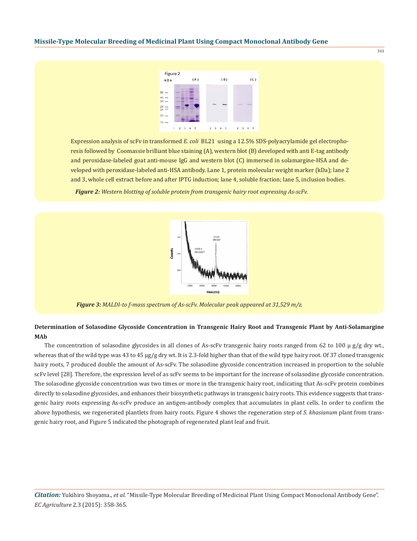

Expression analysis of scFv in transformed *E. coli* BL21 using a 12.5% SDS-polyacrylamide gel electrophoresis followed by Coomassie brilliant blue staining (A), western blot (B) developed with anti E-tag antibody and peroxidase-labeled goat anti-mouse IgG and western blot (C) immersed in solamargine-HSA and developed with peroxidase-labeled anti-HSA antibody. Lane 1, protein molecular weight marker (kDa); lane 2 and 3, whole cell extract before and after IPTG induction; lane 4, soluble fraction; lane 5, inclusion bodies.

*Figure 2: Western blotting of soluble protein from transgenic hairy root expressing As-scFv.*



*Figure 3: MALDI-to f-mass spectrum of As-scFv. Molecular peak appeared at 31,529 m/z.*

# **Determination of Solasodine Glycoside Concentration in Transgenic Hairy Root and Transgenic Plant by Anti-Solamargine MAb**

The concentration of solasodine glycosides in all clones of As-scFv transgenic hairy roots ranged from 62 to 100 μ g/g dry wt., whereas that of the wild type was 43 to 45 μg/g dry wt. It is 2.3-fold higher than that of the wild type hairy root. Of 37 cloned transgenic hairy roots, 7 produced double the amount of As-scFv. The solasodine glycoside concentration increased in proportion to the soluble scFv level [28]. Therefore, the expression level of as scFv seems to be important for the increase of solasodine glycoside concentration. The solasodine glycoside concentration was two times or more in the transgenic hairy root, indicating that As-scFv protein combines directly to solasodine glycosides, and enhances their biosynthetic pathways in transgenic hairy roots. This evidence suggests that transgenic hairy roots expressing As-scFv produce an antigen-antibody complex that accumulates in plant cells. In order to confirm the above hypothesis, we regenerated plantlets from hairy roots. Figure 4 shows the regeneration step of *S. khasianum* plant from transgenic hairy root, and Figure 5 indicated the photograph of regenerated plant leaf and fruit.

361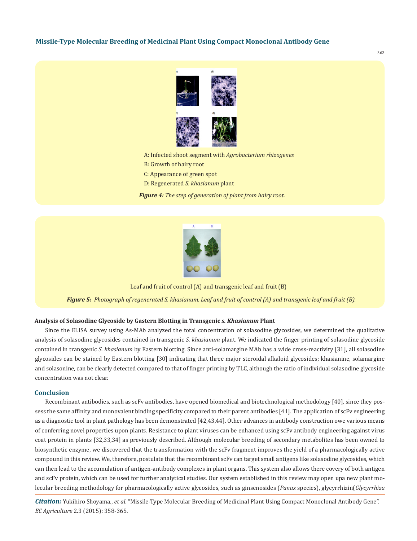

362

A: Infected shoot segment with *Agrobacterium rhizogenes* B: Growth of hairy root C: Appearance of green spot D: Regenerated *S. khasianum* plant

*Figure 4: The step of generation of plant from hairy root.*



*Figure 5: Photograph of regenerated S. khasianum. Leaf and fruit of control (A) and transgenic leaf and fruit (B).* Leaf and fruit of control (A) and transgenic leaf and fruit (B)

## **Analysis of Solasodine Glycoside by Gastern Blotting in Transgenic** *s. Khasianum* **Plant**

Since the ELISA survey using As-MAb analyzed the total concentration of solasodine glycosides, we determined the qualitative analysis of solasodine glycosides contained in transgenic *S. khasianum* plant. We indicated the finger printing of solasodine glycoside contained in transgenic *S. khasianum* by Eastern blotting. Since anti-solamargine MAb has a wide cross-reactivity [31], all solasodine glycosides can be stained by Eastern blotting [30] indicating that three major steroidal alkaloid glycosides; khasianine, solamargine and solasonine, can be clearly detected compared to that of finger printing by TLC, although the ratio of individual solasodine glycoside concentration was not clear.

#### **Conclusion**

Recombinant antibodies, such as scFv antibodies, have opened biomedical and biotechnological methodology [40], since they possess the same affinity and monovalent binding specificity compared to their parent antibodies [41]. The application of scFv engineering as a diagnostic tool in plant pathology has been demonstrated [42,43,44]. Other advances in antibody construction owe various means of conferring novel properties upon plants. Resistance to plant viruses can be enhanced using scFv antibody engineering against virus coat protein in plants [32,33,34] as previously described. Although molecular breeding of secondary metabolites has been owned to biosynthetic enzyme, we discovered that the transformation with the scFv fragment improves the yield of a pharmacologically active compound in this review. We, therefore, postulate that the recombinant scFv can target small antigens like solasodine glycosides, which can then lead to the accumulation of antigen-antibody complexes in plant organs. This system also allows there covery of both antigen and scFv protein, which can be used for further analytical studies. Our system established in this review may open upa new plant molecular breeding methodology for pharmacologically active glycosides, such as ginsenosides (*Panax* species), glycyrrhizin(*Glycyrrhiza*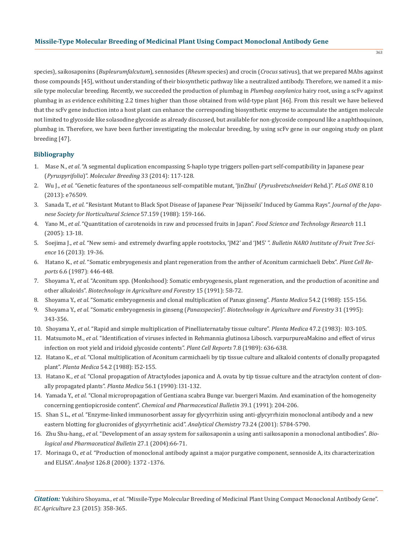species), saikosaponins (*Bupleurumfalcutum*), sennosides (*Rheum* species) and crocin (*Crocus* sativus), that we prepared MAbs against those compounds [45], without understanding of their biosynthetic pathway like a neutralized antibody. Therefore, we named it a missile type molecular breeding. Recently, we succeeded the production of plumbag in *Plumbag ozeylanica* hairy root, using a scFv against plumbag in as evidence exhibiting 2.2 times higher than those obtained from wild-type plant [46]. From this result we have believed that the scFv gene induction into a host plant can enhance the corresponding biosynthetic enzyme to accumulate the antigen molecule not limited to glycoside like solasodine glycoside as already discussed, but available for non-glycoside compound like a naphthoquinon, plumbag in. Therefore, we have been further investigating the molecular breeding, by using scFv gene in our ongoing study on plant breeding [47].

## **Bibliography**

- 1. Mase N., *et al*. "A segmental duplication encompassing S-haplo type triggers pollen-part self-compatibility in Japanese pear (*Pyruspyrifolia*)". *Molecular Breeding* 33 (2014): 117-128.
- 2. Wu J., *et al*. "Genetic features of the spontaneous self-compatible mutant, 'JinZhui' (*Pyrusbretschneideri* Rehd.)". *PLoS ONE* 8.10 (2013): e76509.
- 3. Sanada T., *et al*. "Resistant Mutant to Black Spot Disease of Japanese Pear 'Nijisseiki' Induced by Gamma Rays". *Journal of the Japa nese Society for Horticultural Science* 57.159 (1988): 159-166.
- 4. Yano M., *et al*. "Quantitation of carotenoids in raw and processed fruits in Japan". *Food Science and Technology Research* 11.1 (2005): 13-18.
- 5. Soejima J., *et al*. "New semi- and extremely dwarfing apple rootstocks, 'JM2' and 'JM5' ". *Bulletin NARO Institute of Fruit Tree Sci ence* 16 (2013): 19-36.
- 6. Hatano K., *et al*. "Somatic embryogenesis and plant regeneration from the anther of Aconitum carmichaeli Debx". *Plant Cell Re ports* 6.6 (1987): 446-448.
- 7. Shoyama Y., *et al*. "Aconitum spp. (Monkshood): Somatic embryogenesis, plant regeneration, and the production of aconitine and other alkaloids". *Biotechnology in Agriculture and Forestry* 15 (1991): 58-72.
- 8. Shoyama Y., *et al*. "Somatic embryogenesis and clonal multiplication of Panax ginseng". *Planta Medica* 54.2 (1988): 155-156.
- 9. Shoyama Y., *et al*. "Somatic embryogenesis in ginseng (*Panaxspecies*)". *Biotechnology in Agriculture and Forestry* 31 (1995): 343-356.
- 10. Shoyama Y., *et al*. "Rapid and simple multiplication of Pinelliaternataby tissue culture". *Planta Medica* 47.2 (1983): l03-105.
- 11. Matsumoto M., *et al*. "Identification of viruses infected in Rehmannia glutinosa Libosch. varpurpureaMakino and effect of virus infection on root yield and iridoid glycoside contents". *Plant Cell Reports* 7.8 (1989): 636-638.
- 12. Hatano K., *et al*. "Clonal multiplication of Aconitum carmichaeli by tip tissue culture and alkaloid contents of clonally propagated plant". *Planta Medica* 54.2 (1988): l52-155.
- 13. Hatano K., *et al.* "Clonal propagation of Atractylodes japonica and A. ovata by tip tissue culture and the atractylon content of clon ally propagated plants". *Planta Medica* 56.1 (1990): l31-132.
- 14. Yamada Y., *et al*. "Clonal micropropagation of Gentiana scabra Bunge var. buergeri Maxim. And examination of the homogeneity concerning gentiopicroside content". *Chemical and Pharmaceutical Bulletin* 39.1 (1991): 204-206.
- 15. Shan S L., *et al*. "Enzyme-linked immunosorbent assay for glycyrrhizin using anti-glycyrrhizin monoclonal antibody and a new eastern blotting for glucronides of glycyrrhetinic acid". *Analytical Chemistry* 73.24 (2001): 5784-5790.
- 16. Zhu Shu-hang., *et al*. "Development of an assay system for saikosaponin a using anti saikosaponin a monoclonal antibodies". *Bio logical and Pharmaceutical Bulletin* 27.1 (2004):66-71.
- 17. Morinaga O., *et al*. "Production of monoclonal antibody against a major purgative component, sennoside A, its characterization and ELISA". *Analyst* 126.8 (2000): 1372 -1376.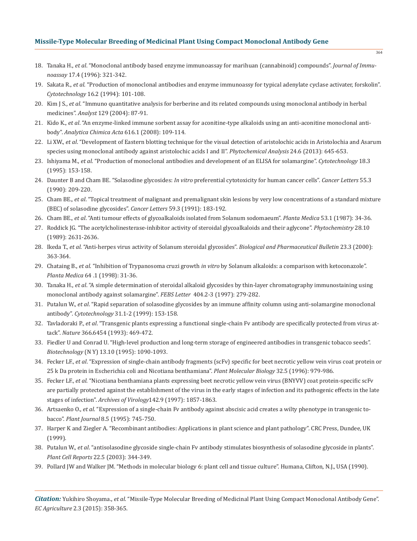- 18. Tanaka H., *et al*. "Monoclonal antibody based enzyme immunoassay for marihuan (cannabinoid) compounds". *Journal of Immu noassay* 17.4 (1996): 321-342.
- 19. Sakata R., *et al*. "Production of monoclonal antibodies and enzyme immunoassy for typical adenylate cyclase activater, forskolin". *Cytotechnology* 16.2 (1994): 101-108.
- 20. Kim J S., *et al*. "Immuno quantitative analysis for berberine and its related compounds using monoclonal antibody in herbal medicines". *Analyst* 129 (2004): 87-91.
- 21. Kido K., *et al*. "An enzyme-linked immune sorbent assay for aconitine-type alkaloids using an anti-aconitine monoclonal anti body". *Analytica Chimica Acta* 616.1 (2008): 109-114.
- 22. Li XW., *et al*. "Development of Eastern blotting technique for the visual detection of aristolochic acids in Aristolochia and Asarum species using monoclonal antibody against aristolochic acids I and II". *Phytochemical Analysis* 24.6 (2013): 645-653.
- 23. Ishiyama M., *et al*. "Production of monoclonal antibodies and development of an ELISA for solamargine". *Cytotechnology* 18.3 (1995): 153-158.
- 24. Daunter B and Cham BE. "Solasodine glycosides: *In vitro* preferential cytotoxicity for human cancer cells". *Cancer Letters* 55.3 (1990): 209-220.
- 25. Cham BE., *et al*. "Topical treatment of malignant and premalignant skin lesions by very low concentrations of a standard mixture (BEC) of solasodine glycosides". *Cancer Letters* 59.3 (1991): 183-192.
- 26. Cham BE., *et al*. "Anti tumour effects of glycoalkaloids isolated from Solanum sodomaeum". *Planta Medica* 53.1 (1987): 34-36.
- 27. Roddick JG. "The acetylcholinesterase-inhibitor activity of steroidal glycoalkaloids and their aglycone". *Phytochemistry* 28.10 (1989): 2631-2636.
- 28. Ikeda T., *et al*. "Anti-herpes virus activity of Solanum steroidal glycosides". *Biological and Pharmaceutical Bulletin* 23.3 (2000): 363-364.
- 29. Chataing B., *et al*. "Inhibition of Trypanosoma cruzi growth *in vitro* by Solanum alkaloids: a comparison with ketoconazole". *Planta Medica* 64 .1 (1998): 31-36.
- 30. Tanaka H., *et al*. "A simple determination of steroidal alkaloid glycosides by thin-layer chromatography immunostaining using monoclonal antibody against solamargine". *FEBS Letter* 404.2-3 (1997): 279-282.
- 31. Putalun W., *et al*. "Rapid separation of solasodine glycosides by an immune affinity column using anti-solamargine monoclonal antibody". *Cytotechnology* 31.1-2 (1999): 153-158.
- 32. Tavladoraki P., *et al*. "Transgenic plants expressing a functional single-chain Fv antibody are specifically protected from virus at tack". *Nature* 366.6454 (1993): 469-472.
- 33. Fiedler U and Conrad U. "High-level production and long-term storage of engineered antibodies in transgenic tobacco seeds". *Biotechnology* (N Y) 13.10 (1995): 1090-1093.
- 34. Fecker LF., *et al*. "Expression of single-chain antibody fragments (scFv) specific for beet necrotic yellow vein virus coat protein or 25 k Da protein in Escherichia coli and Nicotiana benthamiana". *Plant Molecular Biology* 32.5 (1996): 979-986.
- 35. Fecker LF., *et al.* "Nicotiana benthamiana plants expressing beet necrotic yellow vein virus (BNYVV) coat protein-specific scFv are partially protected against the establishment of the virus in the early stages of infection and its pathogenic effects in the late stages of infection". *Archives of Virology*142.9 (1997): 1857-1863.
- 36. Artsaenko O., *et al*. "Expression of a single-chain Fv antibody against abscisic acid creates a wilty phenotype in transgenic to bacco". *Plant Journal* 8.5 (1995): 745-750.
- 37. Harper K and Ziegler A. "Recombinant antibodies: Applications in plant science and plant pathology". CRC Press, Dundee, UK (1999).
- 38. Putalun W., *et al*. "antisolasodine glycoside single-chain Fv antibody stimulates biosynthesis of solasodine glycoside in plants". *Plant Cell Reports* 22.5 (2003): 344-349.
- 39. Pollard JW and Walker JM. "Methods in molecular biology 6: plant cell and tissue culture". Humana, Clifton, N.J., USA (1990).

*Citation:* Yukihiro Shoyama., *et al*. "Missile-Type Molecular Breeding of Medicinal Plant Using Compact Monoclonal Antibody Gene". *EC Agriculture* 2.3 (2015): 358-365.

364